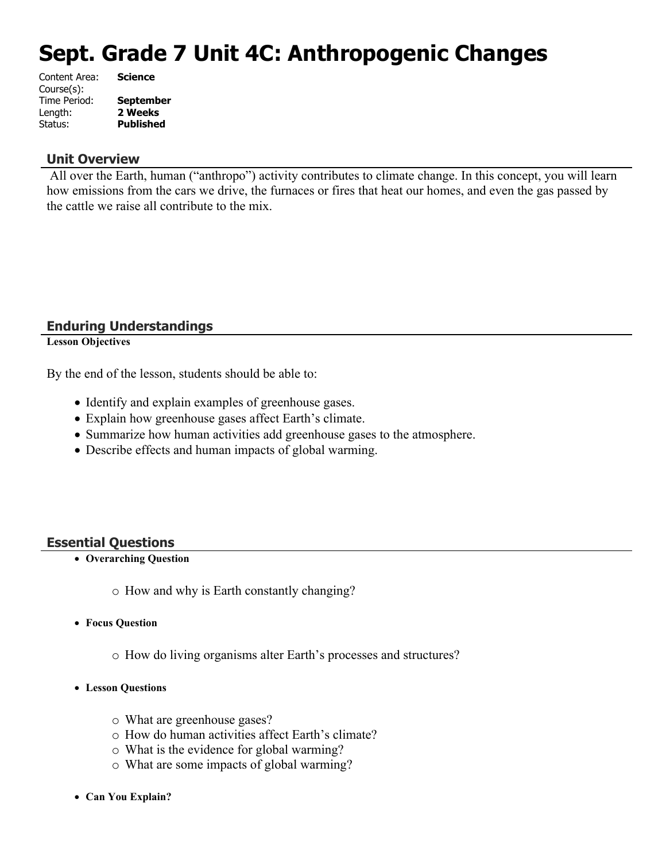# **Sept. Grade 7 Unit 4C: Anthropogenic Changes**

| Content Area: | <b>Science</b>   |
|---------------|------------------|
| Course(s):    |                  |
| Time Period:  | <b>September</b> |
| Length:       | 2 Weeks          |
| Status:       | <b>Published</b> |
|               |                  |

# **Unit Overview**

All over the Earth, human ("anthropo") activity contributes to climate change. In this concept, you will learn how emissions from the cars we drive, the furnaces or fires that heat our homes, and even the gas passed by the cattle we raise all contribute to the mix.

# **Enduring Understandings**

**Lesson Objectives**

By the end of the lesson, students should be able to:

- Identify and explain examples of greenhouse gases.
- Explain how greenhouse gases affect Earth's climate.
- Summarize how human activities add greenhouse gases to the atmosphere.
- Describe effects and human impacts of global warming.

# **Essential Questions**

- **Overarching Question**
	- o How and why is Earth constantly changing?
- **Focus Question**
	- o How do living organisms alter Earth's processes and structures?
- **Lesson Questions**
	- o What are greenhouse gases?
	- o How do human activities affect Earth's climate?
	- o What is the evidence for global warming?
	- o What are some impacts of global warming?
- **Can You Explain?**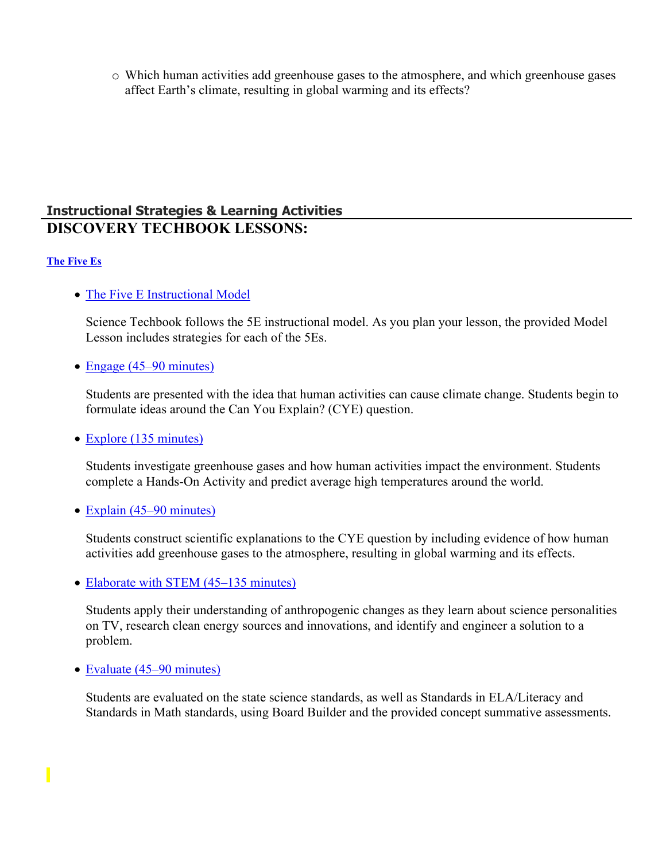o Which human activities add greenhouse gases to the atmosphere, and which greenhouse gases affect Earth's climate, resulting in global warming and its effects?

# **Instructional Strategies & Learning Activities DISCOVERY TECHBOOK LESSONS:**

# **[The Five Es](https://app.discoveryeducation.com/learn/techbook/units/e82b02d7-bf5b-4915-ac4e-15a18765a628/concepts/2222bd85-5dcd-4108-8177-9e43bba7f7c3/lesson/sections/430908bc-bb7a-46da-a163-fe7f32cc4b97)**

# • [The Five E Instructional Model](https://app.discoveryeducation.com/learn/techbook/units/e82b02d7-bf5b-4915-ac4e-15a18765a628/concepts/2222bd85-5dcd-4108-8177-9e43bba7f7c3/lesson/sections/430908bc-bb7a-46da-a163-fe7f32cc4b97#8a79a509-a1ed-43db-adc0-d9f8cb602d43)

Science Techbook follows the 5E instructional model. As you plan your lesson, the provided Model Lesson includes strategies for each of the 5Es.

• [Engage \(45–90 minutes\)](https://app.discoveryeducation.com/learn/techbook/units/e82b02d7-bf5b-4915-ac4e-15a18765a628/concepts/2222bd85-5dcd-4108-8177-9e43bba7f7c3/lesson/sections/430908bc-bb7a-46da-a163-fe7f32cc4b97#02936fb5-c7e4-4f11-87a1-ebee6219a90f)

Students are presented with the idea that human activities can cause climate change. Students begin to formulate ideas around the Can You Explain? (CYE) question.

# • [Explore \(135 minutes\)](https://app.discoveryeducation.com/learn/techbook/units/e82b02d7-bf5b-4915-ac4e-15a18765a628/concepts/2222bd85-5dcd-4108-8177-9e43bba7f7c3/lesson/sections/430908bc-bb7a-46da-a163-fe7f32cc4b97#cabfdd97-cd73-4c6f-9fd4-804c40a0b299)

Students investigate greenhouse gases and how human activities impact the environment. Students complete a Hands-On Activity and predict average high temperatures around the world.

# • [Explain \(45–90 minutes\)](https://app.discoveryeducation.com/learn/techbook/units/e82b02d7-bf5b-4915-ac4e-15a18765a628/concepts/2222bd85-5dcd-4108-8177-9e43bba7f7c3/lesson/sections/430908bc-bb7a-46da-a163-fe7f32cc4b97#d7074621-504c-4145-97e4-36a76ac056d9)

Students construct scientific explanations to the CYE question by including evidence of how human activities add greenhouse gases to the atmosphere, resulting in global warming and its effects.

• [Elaborate with STEM \(45–135 minutes\)](https://app.discoveryeducation.com/learn/techbook/units/e82b02d7-bf5b-4915-ac4e-15a18765a628/concepts/2222bd85-5dcd-4108-8177-9e43bba7f7c3/lesson/sections/430908bc-bb7a-46da-a163-fe7f32cc4b97#5c0c30c2-8ae6-433c-9be0-2e404ee3f0a7)

Students apply their understanding of anthropogenic changes as they learn about science personalities on TV, research clean energy sources and innovations, and identify and engineer a solution to a problem.

• [Evaluate \(45–90 minutes\)](https://app.discoveryeducation.com/learn/techbook/units/e82b02d7-bf5b-4915-ac4e-15a18765a628/concepts/2222bd85-5dcd-4108-8177-9e43bba7f7c3/lesson/sections/430908bc-bb7a-46da-a163-fe7f32cc4b97#436239b0-f8e2-4047-b8b1-b3c458cc7639)

Students are evaluated on the state science standards, as well as Standards in ELA/Literacy and Standards in Math standards, using Board Builder and the provided concept summative assessments.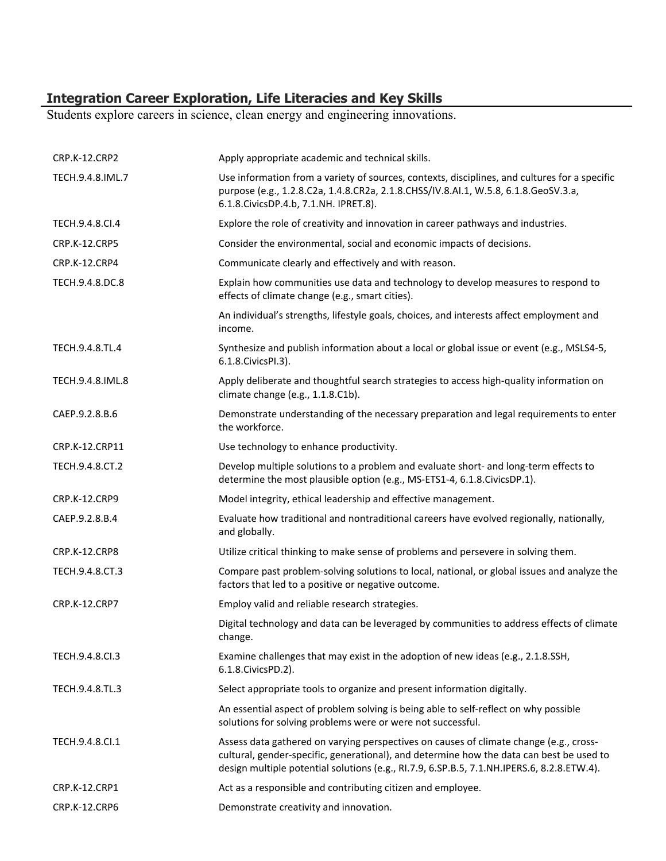# **Integration Career Exploration, Life Literacies and Key Skills**

Students explore careers in science, clean energy and engineering innovations.

| CRP.K-12.CRP2        | Apply appropriate academic and technical skills.                                                                                                                                                                                                                                 |
|----------------------|----------------------------------------------------------------------------------------------------------------------------------------------------------------------------------------------------------------------------------------------------------------------------------|
| TECH.9.4.8.IML.7     | Use information from a variety of sources, contexts, disciplines, and cultures for a specific<br>purpose (e.g., 1.2.8.C2a, 1.4.8.CR2a, 2.1.8.CHSS/IV.8.AI.1, W.5.8, 6.1.8.GeoSV.3.a,<br>6.1.8. Civics DP.4.b, 7.1. NH. IPRET.8).                                                 |
| TECH.9.4.8.CI.4      | Explore the role of creativity and innovation in career pathways and industries.                                                                                                                                                                                                 |
| <b>CRP.K-12.CRP5</b> | Consider the environmental, social and economic impacts of decisions.                                                                                                                                                                                                            |
| CRP.K-12.CRP4        | Communicate clearly and effectively and with reason.                                                                                                                                                                                                                             |
| TECH.9.4.8.DC.8      | Explain how communities use data and technology to develop measures to respond to<br>effects of climate change (e.g., smart cities).                                                                                                                                             |
|                      | An individual's strengths, lifestyle goals, choices, and interests affect employment and<br>income.                                                                                                                                                                              |
| TECH.9.4.8.TL.4      | Synthesize and publish information about a local or global issue or event (e.g., MSLS4-5,<br>6.1.8. Civics PI.3).                                                                                                                                                                |
| TECH.9.4.8.IML.8     | Apply deliberate and thoughtful search strategies to access high-quality information on<br>climate change (e.g., 1.1.8.C1b).                                                                                                                                                     |
| CAEP.9.2.8.B.6       | Demonstrate understanding of the necessary preparation and legal requirements to enter<br>the workforce.                                                                                                                                                                         |
| CRP.K-12.CRP11       | Use technology to enhance productivity.                                                                                                                                                                                                                                          |
| TECH.9.4.8.CT.2      | Develop multiple solutions to a problem and evaluate short- and long-term effects to<br>determine the most plausible option (e.g., MS-ETS1-4, 6.1.8.CivicsDP.1).                                                                                                                 |
| CRP.K-12.CRP9        | Model integrity, ethical leadership and effective management.                                                                                                                                                                                                                    |
| CAEP.9.2.8.B.4       | Evaluate how traditional and nontraditional careers have evolved regionally, nationally,<br>and globally.                                                                                                                                                                        |
| CRP.K-12.CRP8        | Utilize critical thinking to make sense of problems and persevere in solving them.                                                                                                                                                                                               |
| TECH.9.4.8.CT.3      | Compare past problem-solving solutions to local, national, or global issues and analyze the<br>factors that led to a positive or negative outcome.                                                                                                                               |
| CRP.K-12.CRP7        | Employ valid and reliable research strategies.                                                                                                                                                                                                                                   |
|                      | Digital technology and data can be leveraged by communities to address effects of climate<br>change.                                                                                                                                                                             |
| TECH.9.4.8.Cl.3      | Examine challenges that may exist in the adoption of new ideas (e.g., 2.1.8.SSH,<br>6.1.8. Civics PD. 2).                                                                                                                                                                        |
| TECH.9.4.8.TL.3      | Select appropriate tools to organize and present information digitally.                                                                                                                                                                                                          |
|                      | An essential aspect of problem solving is being able to self-reflect on why possible<br>solutions for solving problems were or were not successful.                                                                                                                              |
| TECH.9.4.8.Cl.1      | Assess data gathered on varying perspectives on causes of climate change (e.g., cross-<br>cultural, gender-specific, generational), and determine how the data can best be used to<br>design multiple potential solutions (e.g., RI.7.9, 6.SP.B.5, 7.1.NH.IPERS.6, 8.2.8.ETW.4). |
| CRP.K-12.CRP1        | Act as a responsible and contributing citizen and employee.                                                                                                                                                                                                                      |
| CRP.K-12.CRP6        | Demonstrate creativity and innovation.                                                                                                                                                                                                                                           |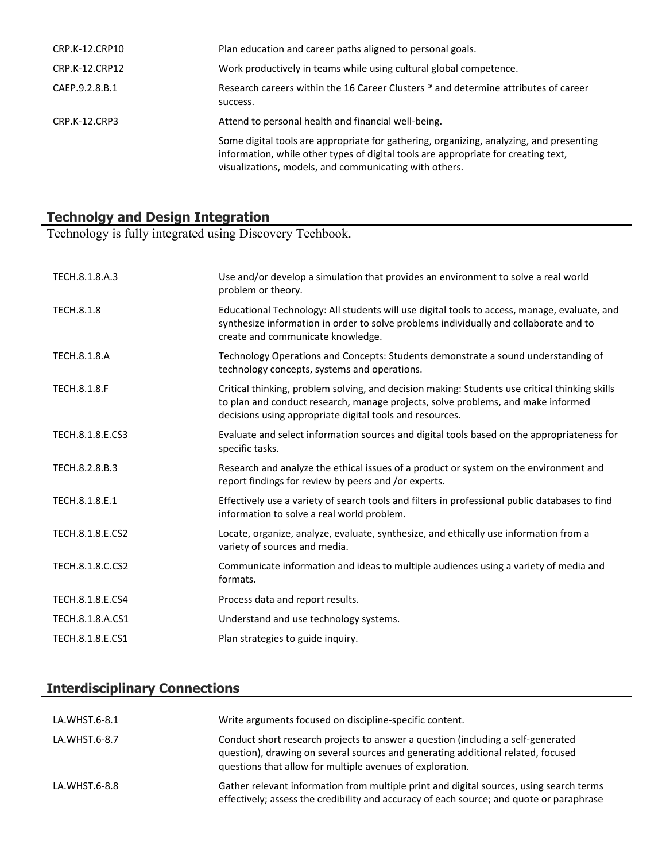| CRP.K-12.CRP10 | Plan education and career paths aligned to personal goals.                                                                                                                                                                              |
|----------------|-----------------------------------------------------------------------------------------------------------------------------------------------------------------------------------------------------------------------------------------|
| CRP.K-12.CRP12 | Work productively in teams while using cultural global competence.                                                                                                                                                                      |
| CAEP.9.2.8.B.1 | Research careers within the 16 Career Clusters <sup>®</sup> and determine attributes of career<br>success.                                                                                                                              |
| CRP.K-12.CRP3  | Attend to personal health and financial well-being.                                                                                                                                                                                     |
|                | Some digital tools are appropriate for gathering, organizing, analyzing, and presenting<br>information, while other types of digital tools are appropriate for creating text,<br>visualizations, models, and communicating with others. |

# **Technolgy and Design Integration**

Technology is fully integrated using Discovery Techbook.

| TECH.8.1.8.A.3      | Use and/or develop a simulation that provides an environment to solve a real world<br>problem or theory.                                                                                                                                       |
|---------------------|------------------------------------------------------------------------------------------------------------------------------------------------------------------------------------------------------------------------------------------------|
| <b>TECH.8.1.8</b>   | Educational Technology: All students will use digital tools to access, manage, evaluate, and<br>synthesize information in order to solve problems individually and collaborate and to<br>create and communicate knowledge.                     |
| <b>TECH.8.1.8.A</b> | Technology Operations and Concepts: Students demonstrate a sound understanding of<br>technology concepts, systems and operations.                                                                                                              |
| <b>TECH.8.1.8.F</b> | Critical thinking, problem solving, and decision making: Students use critical thinking skills<br>to plan and conduct research, manage projects, solve problems, and make informed<br>decisions using appropriate digital tools and resources. |
| TECH.8.1.8.E.CS3    | Evaluate and select information sources and digital tools based on the appropriateness for<br>specific tasks.                                                                                                                                  |
| TECH.8.2.8.B.3      | Research and analyze the ethical issues of a product or system on the environment and<br>report findings for review by peers and /or experts.                                                                                                  |
| TECH.8.1.8.E.1      | Effectively use a variety of search tools and filters in professional public databases to find<br>information to solve a real world problem.                                                                                                   |
| TECH.8.1.8.E.CS2    | Locate, organize, analyze, evaluate, synthesize, and ethically use information from a<br>variety of sources and media.                                                                                                                         |
| TECH.8.1.8.C.CS2    | Communicate information and ideas to multiple audiences using a variety of media and<br>formats.                                                                                                                                               |
| TECH.8.1.8.E.CS4    | Process data and report results.                                                                                                                                                                                                               |
| TECH.8.1.8.A.CS1    | Understand and use technology systems.                                                                                                                                                                                                         |
| TECH.8.1.8.E.CS1    | Plan strategies to guide inquiry.                                                                                                                                                                                                              |

# **Interdisciplinary Connections**

| LA.WHST.6-8.1 | Write arguments focused on discipline-specific content.                                                                                                                                                                           |
|---------------|-----------------------------------------------------------------------------------------------------------------------------------------------------------------------------------------------------------------------------------|
| LA.WHST.6-8.7 | Conduct short research projects to answer a question (including a self-generated<br>question), drawing on several sources and generating additional related, focused<br>questions that allow for multiple avenues of exploration. |
| LA.WHST.6-8.8 | Gather relevant information from multiple print and digital sources, using search terms<br>effectively; assess the credibility and accuracy of each source; and quote or paraphrase                                               |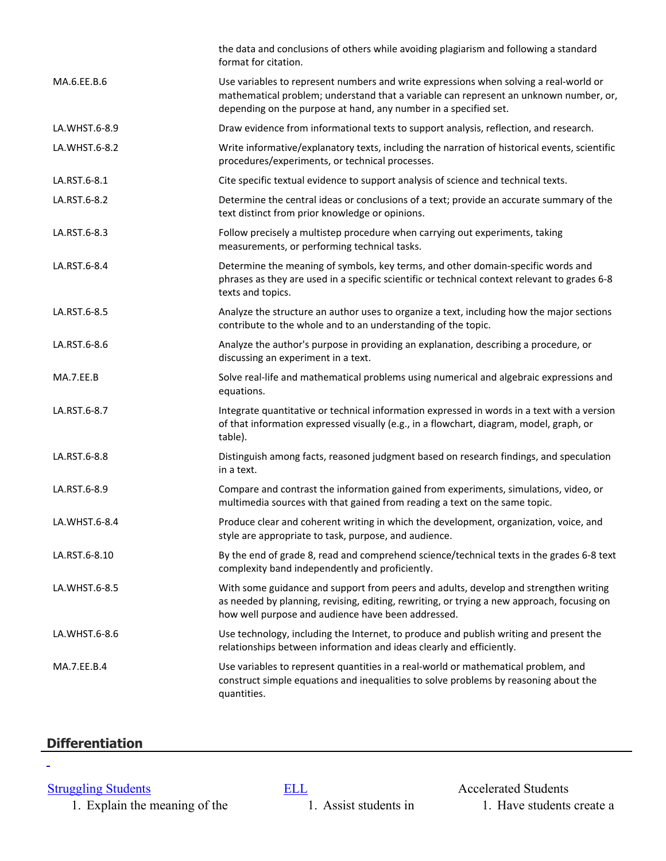|               | the data and conclusions of others while avoiding plagiarism and following a standard<br>format for citation.                                                                                                                                      |
|---------------|----------------------------------------------------------------------------------------------------------------------------------------------------------------------------------------------------------------------------------------------------|
| MA.6.EE.B.6   | Use variables to represent numbers and write expressions when solving a real-world or<br>mathematical problem; understand that a variable can represent an unknown number, or,<br>depending on the purpose at hand, any number in a specified set. |
| LA.WHST.6-8.9 | Draw evidence from informational texts to support analysis, reflection, and research.                                                                                                                                                              |
| LA.WHST.6-8.2 | Write informative/explanatory texts, including the narration of historical events, scientific<br>procedures/experiments, or technical processes.                                                                                                   |
| LA.RST.6-8.1  | Cite specific textual evidence to support analysis of science and technical texts.                                                                                                                                                                 |
| LA.RST.6-8.2  | Determine the central ideas or conclusions of a text; provide an accurate summary of the<br>text distinct from prior knowledge or opinions.                                                                                                        |
| LA.RST.6-8.3  | Follow precisely a multistep procedure when carrying out experiments, taking<br>measurements, or performing technical tasks.                                                                                                                       |
| LA.RST.6-8.4  | Determine the meaning of symbols, key terms, and other domain-specific words and<br>phrases as they are used in a specific scientific or technical context relevant to grades 6-8<br>texts and topics.                                             |
| LA.RST.6-8.5  | Analyze the structure an author uses to organize a text, including how the major sections<br>contribute to the whole and to an understanding of the topic.                                                                                         |
| LA.RST.6-8.6  | Analyze the author's purpose in providing an explanation, describing a procedure, or<br>discussing an experiment in a text.                                                                                                                        |
| MA.7.EE.B     | Solve real-life and mathematical problems using numerical and algebraic expressions and<br>equations.                                                                                                                                              |
| LA.RST.6-8.7  | Integrate quantitative or technical information expressed in words in a text with a version<br>of that information expressed visually (e.g., in a flowchart, diagram, model, graph, or<br>table).                                                  |
| LA.RST.6-8.8  | Distinguish among facts, reasoned judgment based on research findings, and speculation<br>in a text.                                                                                                                                               |
| LA.RST.6-8.9  | Compare and contrast the information gained from experiments, simulations, video, or<br>multimedia sources with that gained from reading a text on the same topic.                                                                                 |
| LA.WHST.6-8.4 | Produce clear and coherent writing in which the development, organization, voice, and<br>style are appropriate to task, purpose, and audience.                                                                                                     |
| LA.RST.6-8.10 | By the end of grade 8, read and comprehend science/technical texts in the grades 6-8 text<br>complexity band independently and proficiently.                                                                                                       |
| LA.WHST.6-8.5 | With some guidance and support from peers and adults, develop and strengthen writing<br>as needed by planning, revising, editing, rewriting, or trying a new approach, focusing on<br>how well purpose and audience have been addressed.           |
| LA.WHST.6-8.6 | Use technology, including the Internet, to produce and publish writing and present the<br>relationships between information and ideas clearly and efficiently.                                                                                     |
| MA.7.EE.B.4   | Use variables to represent quantities in a real-world or mathematical problem, and<br>construct simple equations and inequalities to solve problems by reasoning about the<br>quantities.                                                          |

# **Differentiation**

ä,

[Struggling Students](https://app.discoveryeducation.com/player/view/assetGuid/4995767F-D634-40C6-B25B-BDEA06E14F90) **[ELL](https://app.discoveryeducation.com/player/view/assetGuid/D727DF69-B79B-4A92-AA1F-CE23C74D98D9)** Accelerated Students 1. Explain the meaning of the  $\overline{1}$ . Assist students in  $\overline{1}$ . Have students create a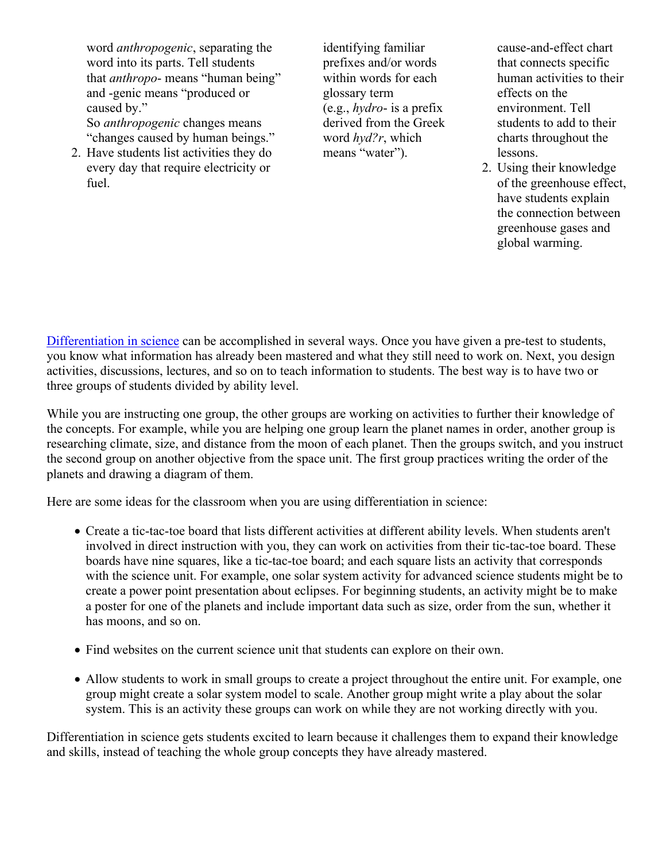word *anthropogenic*, separating the word into its parts. Tell students that *anthropo*- means "human being" and -genic means "produced or caused by." So *anthropogenic* changes means "changes caused by human beings."

2. Have students list activities they do every day that require electricity or fuel.

identifying familiar prefixes and/or words within words for each glossary term (e.g., *hydro*- is a prefix derived from the Greek word *hyd?r*, which means "water").

cause-and-effect chart that connects specific human activities to their effects on the environment. Tell students to add to their charts throughout the lessons.

2. Using their knowledge of the greenhouse effect, have students explain the connection between greenhouse gases and global warming.

[Differentiation in science](http://www.brighthubeducation.com/teaching-gifted-students/65181-differentiation-techniques-and-activities-in-the-classroom-for-gifted-students/) can be accomplished in several ways. Once you have given a pre-test to students, you know what information has already been mastered and what they still need to work on. Next, you design activities, discussions, lectures, and so on to teach information to students. The best way is to have two or three groups of students divided by ability level.

While you are instructing one group, the other groups are working on activities to further their knowledge of the concepts. For example, while you are helping one group learn the planet names in order, another group is researching climate, size, and distance from the moon of each planet. Then the groups switch, and you instruct the second group on another objective from the space unit. The first group practices writing the order of the planets and drawing a diagram of them.

Here are some ideas for the classroom when you are using differentiation in science:

- Create a tic-tac-toe board that lists different activities at different ability levels. When students aren't involved in direct instruction with you, they can work on activities from their tic-tac-toe board. These boards have nine squares, like a tic-tac-toe board; and each square lists an activity that corresponds with the science unit. For example, one solar system activity for advanced science students might be to create a power point presentation about eclipses. For beginning students, an activity might be to make a poster for one of the planets and include important data such as size, order from the sun, whether it has moons, and so on.
- Find websites on the current science unit that students can explore on their own.
- Allow students to work in small groups to create a project throughout the entire unit. For example, one group might create a solar system model to scale. Another group might write a play about the solar system. This is an activity these groups can work on while they are not working directly with you.

Differentiation in science gets students excited to learn because it challenges them to expand their knowledge and skills, instead of teaching the whole group concepts they have already mastered.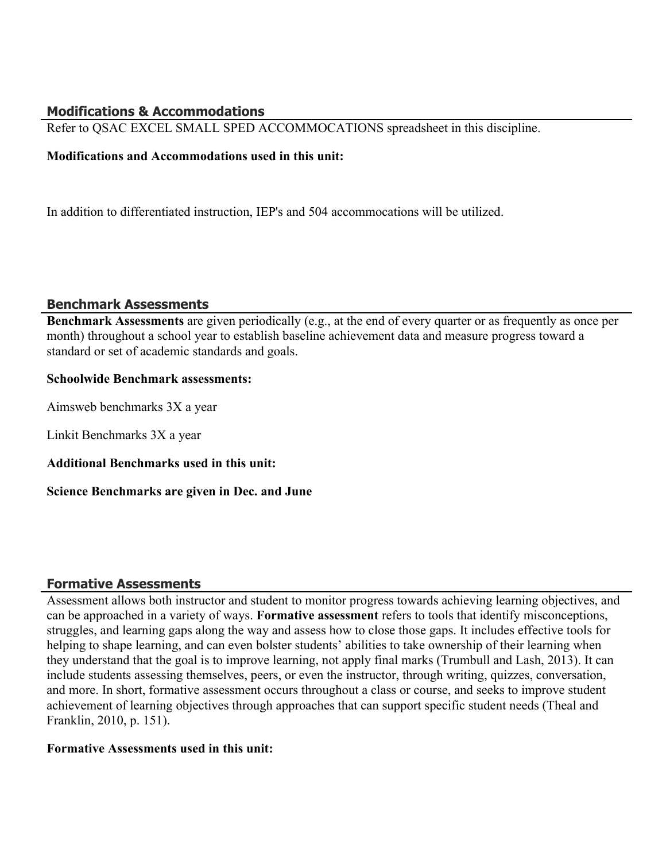# **Modifications & Accommodations**

Refer to QSAC EXCEL SMALL SPED ACCOMMOCATIONS spreadsheet in this discipline.

# **Modifications and Accommodations used in this unit:**

In addition to differentiated instruction, IEP's and 504 accommocations will be utilized.

# **Benchmark Assessments**

**Benchmark Assessments** are given periodically (e.g., at the end of every quarter or as frequently as once per month) throughout a school year to establish baseline achievement data and measure progress toward a standard or set of academic standards and goals.

# **Schoolwide Benchmark assessments:**

Aimsweb benchmarks 3X a year

Linkit Benchmarks 3X a year

**Additional Benchmarks used in this unit:** 

**Science Benchmarks are given in Dec. and June**

# **Formative Assessments**

Assessment allows both instructor and student to monitor progress towards achieving learning objectives, and can be approached in a variety of ways. **Formative assessment** refers to tools that identify misconceptions, struggles, and learning gaps along the way and assess how to close those gaps. It includes effective tools for helping to shape learning, and can even bolster students' abilities to take ownership of their learning when they understand that the goal is to improve learning, not apply final marks (Trumbull and Lash, 2013). It can include students assessing themselves, peers, or even the instructor, through writing, quizzes, conversation, and more. In short, formative assessment occurs throughout a class or course, and seeks to improve student achievement of learning objectives through approaches that can support specific student needs (Theal and Franklin, 2010, p. 151).

# **Formative Assessments used in this unit:**